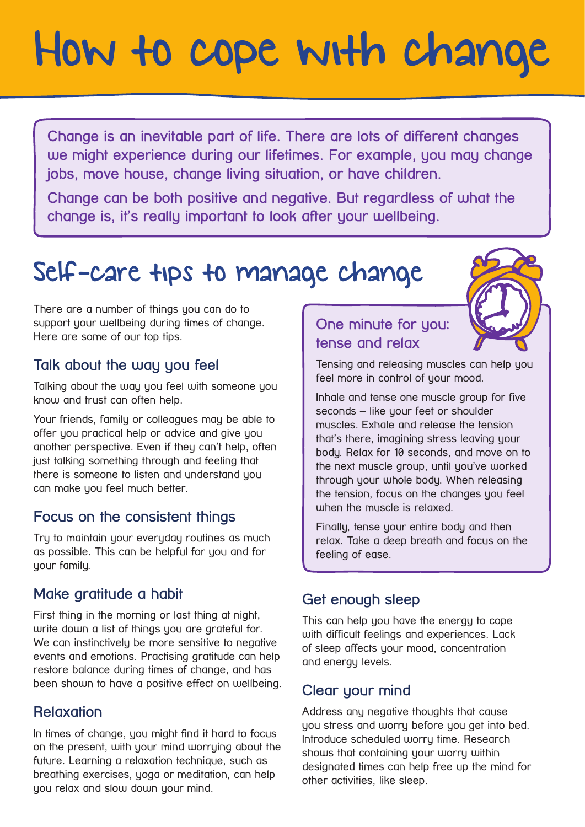# How to cope with change

**Change is an inevitable part of life. There are lots of different changes**  we might experience during our lifetimes. For example, you may change **jobs, move house, change living situation, or have children.** 

**Change can be both positive and negative. But regardless of what the change is, it's really important to look after your wellbeing.** 

# Self-care tips to manage change

There are a number of things you can do to support your wellbeing during times of change. Here are some of our top tips.

#### **Talk about the way you feel**

Talking about the way you feel with someone you know and trust can often help.

Your friends, family or colleagues may be able to offer you practical help or advice and give you another perspective. Even if they can't help, often just talking something through and feeling that there is someone to listen and understand you can make you feel much better.

#### **Focus on the consistent things**

Tru to maintain your everyday routines as much as possible. This can be helpful for you and for your family.

#### **Make gratitude a habit**

First thing in the morning or last thing at night, write down a list of things you are grateful for. We can instinctively be more sensitive to negative events and emotions. Practising gratitude can help restore balance during times of change, and has been shown to have a positive effect on wellbeing.

#### **Relaxation**

In times of change, you might find it hard to focus on the present, with your mind worrying about the future. Learning a relaxation technique, such as breathing exercises, yoga or meditation, can help you relax and slow down your mind.

# **One minute for you: tense and relax**

Tensing and releasing muscles can help you feel more in control of your mood.

Inhale and tense one muscle group for five seconds – like your feet or shoulder muscles. Exhale and release the tension that's there, imagining stress leaving your body. Relax for 10 seconds, and move on to the next muscle group, until you've worked through your whole body. When releasing the tension, focus on the changes you feel when the muscle is relaxed.

Finally, tense your entire body and then relax. Take a deep breath and focus on the feeling of ease.

#### **Get enough sleep**

This can help you have the energy to cope with difficult feelings and experiences. Lack of sleep affects your mood, concentration and energy levels.

#### **Clear your mind**

Address any negative thoughts that cause you stress and worry before you get into bed. Introduce scheduled worry time. Research shows that containing your worry within designated times can help free up the mind for other activities, like sleep.